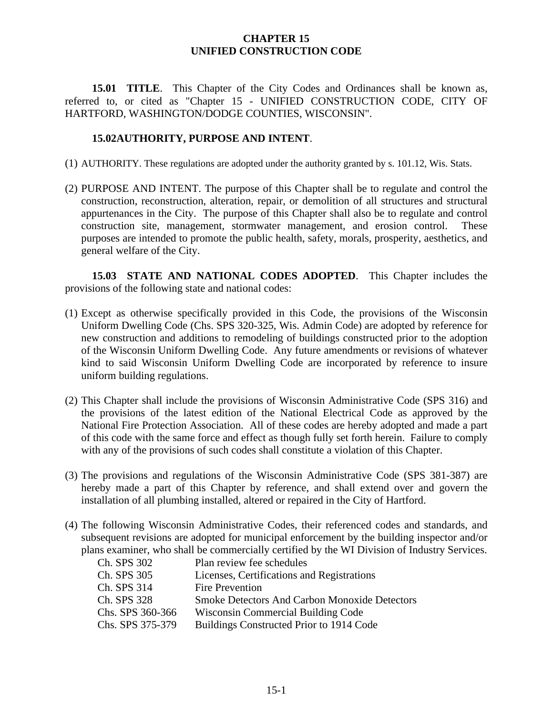## **CHAPTER 15 UNIFIED CONSTRUCTION CODE**

**15.01 TITLE**. This Chapter of the City Codes and Ordinances shall be known as, referred to, or cited as "Chapter 15 - UNIFIED CONSTRUCTION CODE, CITY OF HARTFORD, WASHINGTON/DODGE COUNTIES, WISCONSIN".

## **15.02AUTHORITY, PURPOSE AND INTENT**.

- (1) AUTHORITY. These regulations are adopted under the authority granted by s. 101.12, Wis. Stats.
- (2) PURPOSE AND INTENT. The purpose of this Chapter shall be to regulate and control the construction, reconstruction, alteration, repair, or demolition of all structures and structural appurtenances in the City. The purpose of this Chapter shall also be to regulate and control construction site, management, stormwater management, and erosion control. These purposes are intended to promote the public health, safety, morals, prosperity, aesthetics, and general welfare of the City.

**15.03 STATE AND NATIONAL CODES ADOPTED**. This Chapter includes the provisions of the following state and national codes:

- (1) Except as otherwise specifically provided in this Code, the provisions of the Wisconsin Uniform Dwelling Code (Chs. SPS 320-325, Wis. Admin Code) are adopted by reference for new construction and additions to remodeling of buildings constructed prior to the adoption of the Wisconsin Uniform Dwelling Code. Any future amendments or revisions of whatever kind to said Wisconsin Uniform Dwelling Code are incorporated by reference to insure uniform building regulations.
- (2) This Chapter shall include the provisions of Wisconsin Administrative Code (SPS 316) and the provisions of the latest edition of the National Electrical Code as approved by the National Fire Protection Association. All of these codes are hereby adopted and made a part of this code with the same force and effect as though fully set forth herein. Failure to comply with any of the provisions of such codes shall constitute a violation of this Chapter.
- (3) The provisions and regulations of the Wisconsin Administrative Code (SPS 381-387) are hereby made a part of this Chapter by reference, and shall extend over and govern the installation of all plumbing installed, altered or repaired in the City of Hartford.
- (4) The following Wisconsin Administrative Codes, their referenced codes and standards, and subsequent revisions are adopted for municipal enforcement by the building inspector and/or plans examiner, who shall be commercially certified by the WI Division of Industry Services.

| Ch. SPS 302      | Plan review fee schedules                            |
|------------------|------------------------------------------------------|
| Ch. SPS 305      | Licenses, Certifications and Registrations           |
| Ch. SPS 314      | <b>Fire Prevention</b>                               |
| Ch. SPS 328      | <b>Smoke Detectors And Carbon Monoxide Detectors</b> |
| Chs. SPS 360-366 | Wisconsin Commercial Building Code                   |
| Chs. SPS 375-379 | Buildings Constructed Prior to 1914 Code             |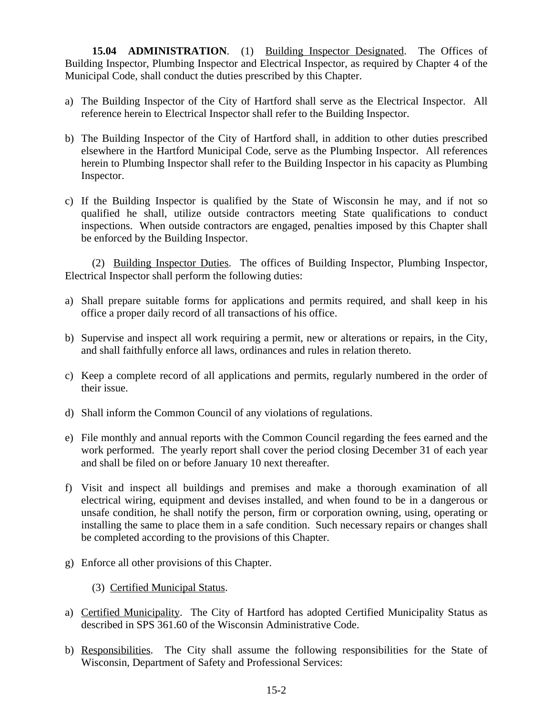**15.04 ADMINISTRATION**. (1) Building Inspector Designated. The Offices of Building Inspector, Plumbing Inspector and Electrical Inspector, as required by Chapter 4 of the Municipal Code, shall conduct the duties prescribed by this Chapter.

- a) The Building Inspector of the City of Hartford shall serve as the Electrical Inspector. All reference herein to Electrical Inspector shall refer to the Building Inspector.
- b) The Building Inspector of the City of Hartford shall, in addition to other duties prescribed elsewhere in the Hartford Municipal Code, serve as the Plumbing Inspector. All references herein to Plumbing Inspector shall refer to the Building Inspector in his capacity as Plumbing Inspector.
- c) If the Building Inspector is qualified by the State of Wisconsin he may, and if not so qualified he shall, utilize outside contractors meeting State qualifications to conduct inspections. When outside contractors are engaged, penalties imposed by this Chapter shall be enforced by the Building Inspector.

(2) Building Inspector Duties. The offices of Building Inspector, Plumbing Inspector, Electrical Inspector shall perform the following duties:

- a) Shall prepare suitable forms for applications and permits required, and shall keep in his office a proper daily record of all transactions of his office.
- b) Supervise and inspect all work requiring a permit, new or alterations or repairs, in the City, and shall faithfully enforce all laws, ordinances and rules in relation thereto.
- c) Keep a complete record of all applications and permits, regularly numbered in the order of their issue.
- d) Shall inform the Common Council of any violations of regulations.
- e) File monthly and annual reports with the Common Council regarding the fees earned and the work performed. The yearly report shall cover the period closing December 31 of each year and shall be filed on or before January 10 next thereafter.
- f) Visit and inspect all buildings and premises and make a thorough examination of all electrical wiring, equipment and devises installed, and when found to be in a dangerous or unsafe condition, he shall notify the person, firm or corporation owning, using, operating or installing the same to place them in a safe condition. Such necessary repairs or changes shall be completed according to the provisions of this Chapter.
- g) Enforce all other provisions of this Chapter.

(3) Certified Municipal Status.

- a) Certified Municipality. The City of Hartford has adopted Certified Municipality Status as described in SPS 361.60 of the Wisconsin Administrative Code.
- b) Responsibilities. The City shall assume the following responsibilities for the State of Wisconsin, Department of Safety and Professional Services: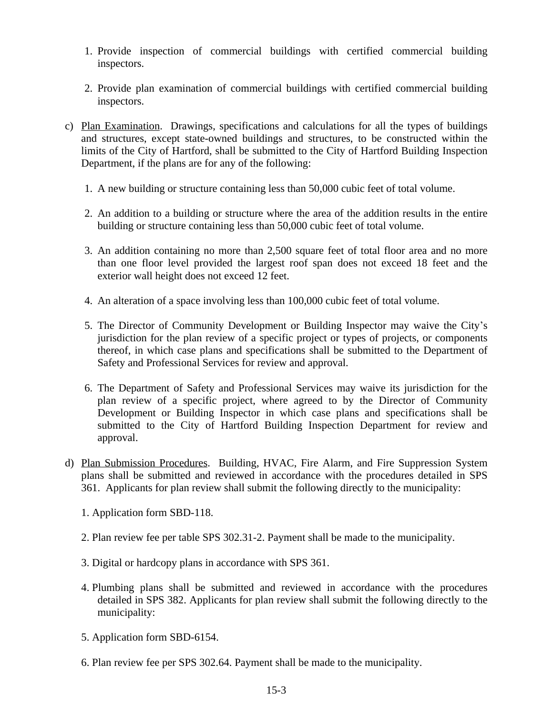- 1. Provide inspection of commercial buildings with certified commercial building inspectors.
- 2. Provide plan examination of commercial buildings with certified commercial building inspectors.
- c) Plan Examination. Drawings, specifications and calculations for all the types of buildings and structures, except state-owned buildings and structures, to be constructed within the limits of the City of Hartford, shall be submitted to the City of Hartford Building Inspection Department, if the plans are for any of the following:
	- 1. A new building or structure containing less than 50,000 cubic feet of total volume.
	- 2. An addition to a building or structure where the area of the addition results in the entire building or structure containing less than 50,000 cubic feet of total volume.
	- 3. An addition containing no more than 2,500 square feet of total floor area and no more than one floor level provided the largest roof span does not exceed 18 feet and the exterior wall height does not exceed 12 feet.
	- 4. An alteration of a space involving less than 100,000 cubic feet of total volume.
	- 5. The Director of Community Development or Building Inspector may waive the City's jurisdiction for the plan review of a specific project or types of projects, or components thereof, in which case plans and specifications shall be submitted to the Department of Safety and Professional Services for review and approval.
	- 6. The Department of Safety and Professional Services may waive its jurisdiction for the plan review of a specific project, where agreed to by the Director of Community Development or Building Inspector in which case plans and specifications shall be submitted to the City of Hartford Building Inspection Department for review and approval.
- d) Plan Submission Procedures. Building, HVAC, Fire Alarm, and Fire Suppression System plans shall be submitted and reviewed in accordance with the procedures detailed in SPS 361. Applicants for plan review shall submit the following directly to the municipality:
	- 1. Application form SBD-118.
	- 2. Plan review fee per table SPS 302.31-2. Payment shall be made to the municipality.
	- 3. Digital or hardcopy plans in accordance with SPS 361.
	- 4. Plumbing plans shall be submitted and reviewed in accordance with the procedures detailed in SPS 382. Applicants for plan review shall submit the following directly to the municipality:
	- 5. Application form SBD-6154.
	- 6. Plan review fee per SPS 302.64. Payment shall be made to the municipality.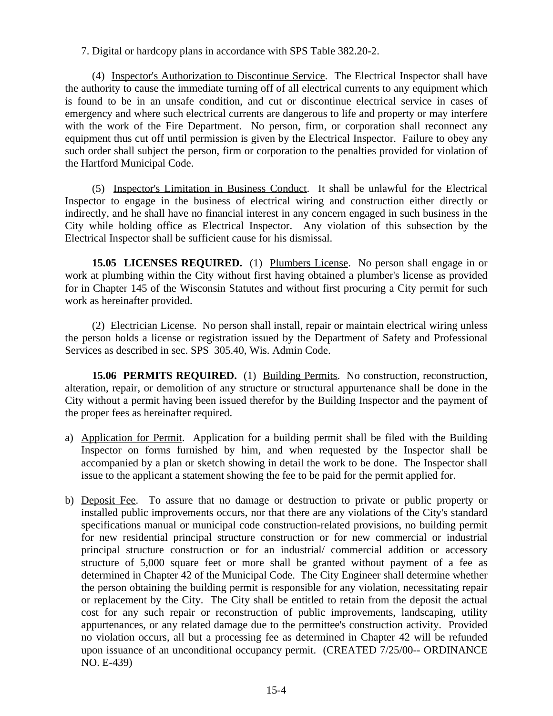7. Digital or hardcopy plans in accordance with SPS Table 382.20-2.

(4) Inspector's Authorization to Discontinue Service. The Electrical Inspector shall have the authority to cause the immediate turning off of all electrical currents to any equipment which is found to be in an unsafe condition, and cut or discontinue electrical service in cases of emergency and where such electrical currents are dangerous to life and property or may interfere with the work of the Fire Department. No person, firm, or corporation shall reconnect any equipment thus cut off until permission is given by the Electrical Inspector. Failure to obey any such order shall subject the person, firm or corporation to the penalties provided for violation of the Hartford Municipal Code.

(5) Inspector's Limitation in Business Conduct. It shall be unlawful for the Electrical Inspector to engage in the business of electrical wiring and construction either directly or indirectly, and he shall have no financial interest in any concern engaged in such business in the City while holding office as Electrical Inspector. Any violation of this subsection by the Electrical Inspector shall be sufficient cause for his dismissal.

**15.05 LICENSES REQUIRED.** (1) Plumbers License. No person shall engage in or work at plumbing within the City without first having obtained a plumber's license as provided for in Chapter 145 of the Wisconsin Statutes and without first procuring a City permit for such work as hereinafter provided.

(2) Electrician License. No person shall install, repair or maintain electrical wiring unless the person holds a license or registration issued by the Department of Safety and Professional Services as described in sec. SPS 305.40, Wis. Admin Code.

**15.06 PERMITS REQUIRED.** (1) Building Permits. No construction, reconstruction, alteration, repair, or demolition of any structure or structural appurtenance shall be done in the City without a permit having been issued therefor by the Building Inspector and the payment of the proper fees as hereinafter required.

- a) Application for Permit. Application for a building permit shall be filed with the Building Inspector on forms furnished by him, and when requested by the Inspector shall be accompanied by a plan or sketch showing in detail the work to be done. The Inspector shall issue to the applicant a statement showing the fee to be paid for the permit applied for.
- b) Deposit Fee. To assure that no damage or destruction to private or public property or installed public improvements occurs, nor that there are any violations of the City's standard specifications manual or municipal code construction-related provisions, no building permit for new residential principal structure construction or for new commercial or industrial principal structure construction or for an industrial/ commercial addition or accessory structure of 5,000 square feet or more shall be granted without payment of a fee as determined in Chapter 42 of the Municipal Code. The City Engineer shall determine whether the person obtaining the building permit is responsible for any violation, necessitating repair or replacement by the City. The City shall be entitled to retain from the deposit the actual cost for any such repair or reconstruction of public improvements, landscaping, utility appurtenances, or any related damage due to the permittee's construction activity. Provided no violation occurs, all but a processing fee as determined in Chapter 42 will be refunded upon issuance of an unconditional occupancy permit. (CREATED 7/25/00-- ORDINANCE NO. E-439)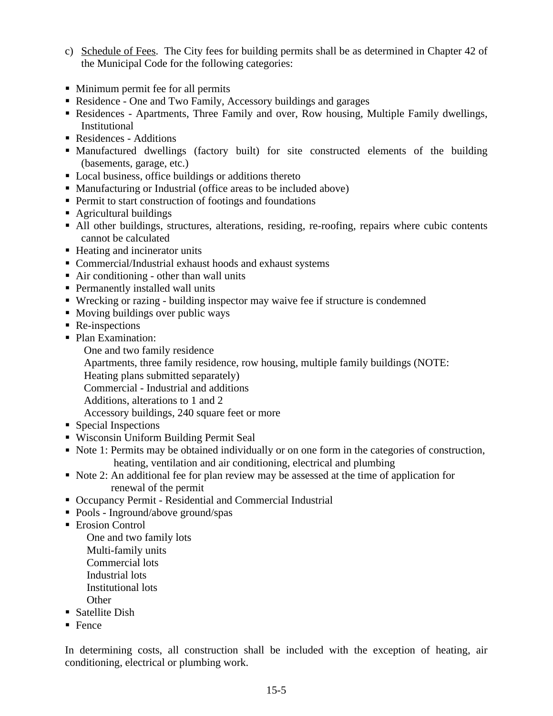- c) Schedule of Fees. The City fees for building permits shall be as determined in Chapter 42 of the Municipal Code for the following categories:
- Minimum permit fee for all permits
- Residence One and Two Family, Accessory buildings and garages
- Residences Apartments, Three Family and over, Row housing, Multiple Family dwellings, Institutional
- Residences Additions
- Manufactured dwellings (factory built) for site constructed elements of the building (basements, garage, etc.)
- Local business, office buildings or additions thereto
- Manufacturing or Industrial (office areas to be included above)
- **Permit to start construction of footings and foundations**
- Agricultural buildings
- All other buildings, structures, alterations, residing, re-roofing, repairs where cubic contents cannot be calculated
- Heating and incinerator units
- Commercial/Industrial exhaust hoods and exhaust systems
- Air conditioning other than wall units
- Permanently installed wall units
- Wrecking or razing building inspector may waive fee if structure is condemned
- Moving buildings over public ways
- Re-inspections
- Plan Examination:
	- One and two family residence
	- Apartments, three family residence, row housing, multiple family buildings (NOTE:
	- Heating plans submitted separately)
	- Commercial Industrial and additions
	- Additions, alterations to 1 and 2
	- Accessory buildings, 240 square feet or more
- Special Inspections
- Wisconsin Uniform Building Permit Seal
- Note 1: Permits may be obtained individually or on one form in the categories of construction, heating, ventilation and air conditioning, electrical and plumbing
- Note 2: An additional fee for plan review may be assessed at the time of application for renewal of the permit
- Occupancy Permit Residential and Commercial Industrial
- Pools Inground/above ground/spas
- **Expediate Expanding Control** 
	- One and two family lots Multi-family units Commercial lots Industrial lots Institutional lots **Other**
- Satellite Dish
- $\blacksquare$  Fence

In determining costs, all construction shall be included with the exception of heating, air conditioning, electrical or plumbing work.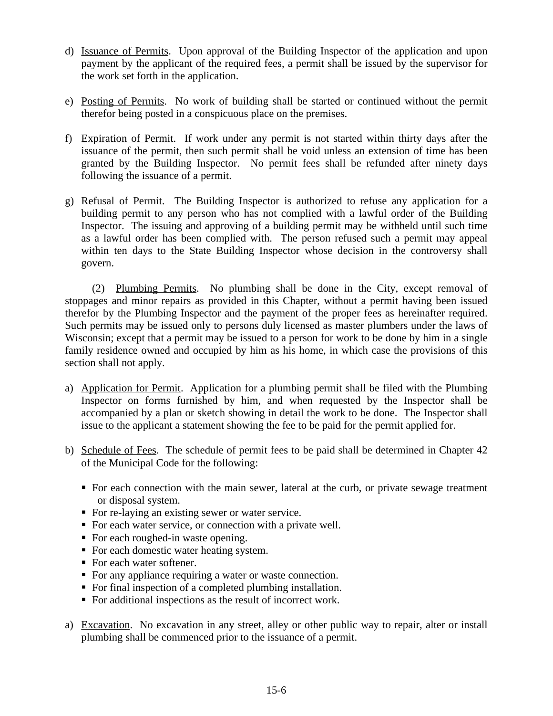- d) Issuance of Permits. Upon approval of the Building Inspector of the application and upon payment by the applicant of the required fees, a permit shall be issued by the supervisor for the work set forth in the application.
- e) Posting of Permits. No work of building shall be started or continued without the permit therefor being posted in a conspicuous place on the premises.
- f) Expiration of Permit. If work under any permit is not started within thirty days after the issuance of the permit, then such permit shall be void unless an extension of time has been granted by the Building Inspector. No permit fees shall be refunded after ninety days following the issuance of a permit.
- g) Refusal of Permit. The Building Inspector is authorized to refuse any application for a building permit to any person who has not complied with a lawful order of the Building Inspector. The issuing and approving of a building permit may be withheld until such time as a lawful order has been complied with. The person refused such a permit may appeal within ten days to the State Building Inspector whose decision in the controversy shall govern.

(2) Plumbing Permits. No plumbing shall be done in the City, except removal of stoppages and minor repairs as provided in this Chapter, without a permit having been issued therefor by the Plumbing Inspector and the payment of the proper fees as hereinafter required. Such permits may be issued only to persons duly licensed as master plumbers under the laws of Wisconsin; except that a permit may be issued to a person for work to be done by him in a single family residence owned and occupied by him as his home, in which case the provisions of this section shall not apply.

- a) Application for Permit. Application for a plumbing permit shall be filed with the Plumbing Inspector on forms furnished by him, and when requested by the Inspector shall be accompanied by a plan or sketch showing in detail the work to be done. The Inspector shall issue to the applicant a statement showing the fee to be paid for the permit applied for.
- b) Schedule of Fees. The schedule of permit fees to be paid shall be determined in Chapter 42 of the Municipal Code for the following:
	- For each connection with the main sewer, lateral at the curb, or private sewage treatment or disposal system.
	- For re-laying an existing sewer or water service.
	- For each water service, or connection with a private well.
	- For each roughed-in waste opening.
	- For each domestic water heating system.
	- For each water softener.
	- For any appliance requiring a water or waste connection.
	- For final inspection of a completed plumbing installation.
	- For additional inspections as the result of incorrect work.
- a) Excavation. No excavation in any street, alley or other public way to repair, alter or install plumbing shall be commenced prior to the issuance of a permit.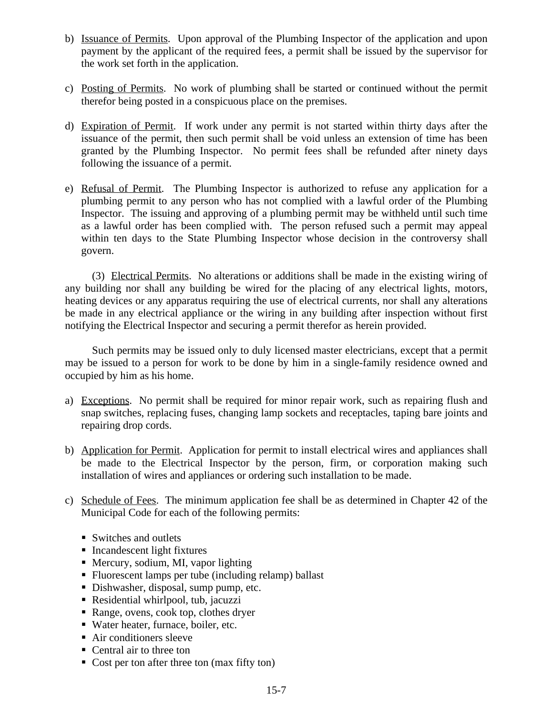- b) Issuance of Permits. Upon approval of the Plumbing Inspector of the application and upon payment by the applicant of the required fees, a permit shall be issued by the supervisor for the work set forth in the application.
- c) Posting of Permits. No work of plumbing shall be started or continued without the permit therefor being posted in a conspicuous place on the premises.
- d) Expiration of Permit. If work under any permit is not started within thirty days after the issuance of the permit, then such permit shall be void unless an extension of time has been granted by the Plumbing Inspector. No permit fees shall be refunded after ninety days following the issuance of a permit.
- e) Refusal of Permit. The Plumbing Inspector is authorized to refuse any application for a plumbing permit to any person who has not complied with a lawful order of the Plumbing Inspector. The issuing and approving of a plumbing permit may be withheld until such time as a lawful order has been complied with. The person refused such a permit may appeal within ten days to the State Plumbing Inspector whose decision in the controversy shall govern.

(3) Electrical Permits. No alterations or additions shall be made in the existing wiring of any building nor shall any building be wired for the placing of any electrical lights, motors, heating devices or any apparatus requiring the use of electrical currents, nor shall any alterations be made in any electrical appliance or the wiring in any building after inspection without first notifying the Electrical Inspector and securing a permit therefor as herein provided.

Such permits may be issued only to duly licensed master electricians, except that a permit may be issued to a person for work to be done by him in a single-family residence owned and occupied by him as his home.

- a) Exceptions. No permit shall be required for minor repair work, such as repairing flush and snap switches, replacing fuses, changing lamp sockets and receptacles, taping bare joints and repairing drop cords.
- b) Application for Permit. Application for permit to install electrical wires and appliances shall be made to the Electrical Inspector by the person, firm, or corporation making such installation of wires and appliances or ordering such installation to be made.
- c) Schedule of Fees. The minimum application fee shall be as determined in Chapter 42 of the Municipal Code for each of the following permits:
	- Switches and outlets
	- **Incandescent light fixtures**
	- Mercury, sodium, MI, vapor lighting
	- Fluorescent lamps per tube (including relamp) ballast
	- Dishwasher, disposal, sump pump, etc.
	- Residential whirlpool, tub, jacuzzi
	- Range, ovens, cook top, clothes dryer
	- Water heater, furnace, boiler, etc.
	- Air conditioners sleeve
	- Central air to three ton
	- Cost per ton after three ton (max fifty ton)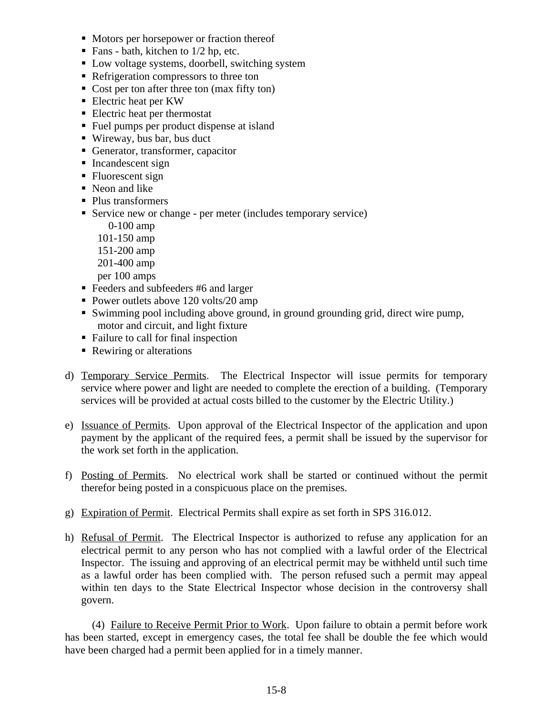- Motors per horsepower or fraction thereof
- Fans bath, kitchen to  $1/2$  hp, etc.
- Low voltage systems, doorbell, switching system
- Refrigeration compressors to three ton
- Cost per ton after three ton (max fifty ton)
- Electric heat per KW
- Electric heat per thermostat
- Fuel pumps per product dispense at island
- Wireway, bus bar, bus duct
- Generator, transformer, capacitor
- **Incandescent sign**
- Fluorescent sign
- Neon and like
- Plus transformers
- Service new or change per meter (includes temporary service)
	- 0-100 amp
	- 101-150 amp
	- 151-200 amp
	- 201-400 amp
	- per 100 amps
- Feeders and subfeeders #6 and larger
- Power outlets above 120 volts/20 amp
- Swimming pool including above ground, in ground grounding grid, direct wire pump, motor and circuit, and light fixture
- Failure to call for final inspection
- Rewiring or alterations
- d) Temporary Service Permits. The Electrical Inspector will issue permits for temporary service where power and light are needed to complete the erection of a building. (Temporary services will be provided at actual costs billed to the customer by the Electric Utility.)
- e) Issuance of Permits. Upon approval of the Electrical Inspector of the application and upon payment by the applicant of the required fees, a permit shall be issued by the supervisor for the work set forth in the application.
- f) Posting of Permits. No electrical work shall be started or continued without the permit therefor being posted in a conspicuous place on the premises.
- g) Expiration of Permit. Electrical Permits shall expire as set forth in SPS 316.012.
- h) Refusal of Permit. The Electrical Inspector is authorized to refuse any application for an electrical permit to any person who has not complied with a lawful order of the Electrical Inspector. The issuing and approving of an electrical permit may be withheld until such time as a lawful order has been complied with. The person refused such a permit may appeal within ten days to the State Electrical Inspector whose decision in the controversy shall govern.

(4) Failure to Receive Permit Prior to Work. Upon failure to obtain a permit before work has been started, except in emergency cases, the total fee shall be double the fee which would have been charged had a permit been applied for in a timely manner.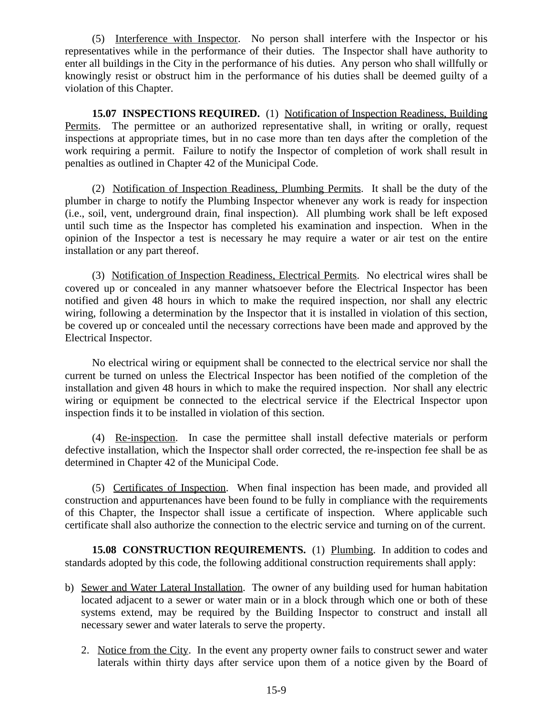(5) Interference with Inspector. No person shall interfere with the Inspector or his representatives while in the performance of their duties. The Inspector shall have authority to enter all buildings in the City in the performance of his duties. Any person who shall willfully or knowingly resist or obstruct him in the performance of his duties shall be deemed guilty of a violation of this Chapter.

**15.07 INSPECTIONS REQUIRED.** (1) Notification of Inspection Readiness, Building Permits. The permittee or an authorized representative shall, in writing or orally, request inspections at appropriate times, but in no case more than ten days after the completion of the work requiring a permit. Failure to notify the Inspector of completion of work shall result in penalties as outlined in Chapter 42 of the Municipal Code.

(2) Notification of Inspection Readiness, Plumbing Permits. It shall be the duty of the plumber in charge to notify the Plumbing Inspector whenever any work is ready for inspection (i.e., soil, vent, underground drain, final inspection). All plumbing work shall be left exposed until such time as the Inspector has completed his examination and inspection. When in the opinion of the Inspector a test is necessary he may require a water or air test on the entire installation or any part thereof.

(3) Notification of Inspection Readiness, Electrical Permits. No electrical wires shall be covered up or concealed in any manner whatsoever before the Electrical Inspector has been notified and given 48 hours in which to make the required inspection, nor shall any electric wiring, following a determination by the Inspector that it is installed in violation of this section, be covered up or concealed until the necessary corrections have been made and approved by the Electrical Inspector.

No electrical wiring or equipment shall be connected to the electrical service nor shall the current be turned on unless the Electrical Inspector has been notified of the completion of the installation and given 48 hours in which to make the required inspection. Nor shall any electric wiring or equipment be connected to the electrical service if the Electrical Inspector upon inspection finds it to be installed in violation of this section.

(4) Re-inspection. In case the permittee shall install defective materials or perform defective installation, which the Inspector shall order corrected, the re-inspection fee shall be as determined in Chapter 42 of the Municipal Code.

(5) Certificates of Inspection. When final inspection has been made, and provided all construction and appurtenances have been found to be fully in compliance with the requirements of this Chapter, the Inspector shall issue a certificate of inspection. Where applicable such certificate shall also authorize the connection to the electric service and turning on of the current.

**15.08 CONSTRUCTION REQUIREMENTS.** (1) Plumbing. In addition to codes and standards adopted by this code, the following additional construction requirements shall apply:

- b) Sewer and Water Lateral Installation. The owner of any building used for human habitation located adjacent to a sewer or water main or in a block through which one or both of these systems extend, may be required by the Building Inspector to construct and install all necessary sewer and water laterals to serve the property.
	- 2. Notice from the City. In the event any property owner fails to construct sewer and water laterals within thirty days after service upon them of a notice given by the Board of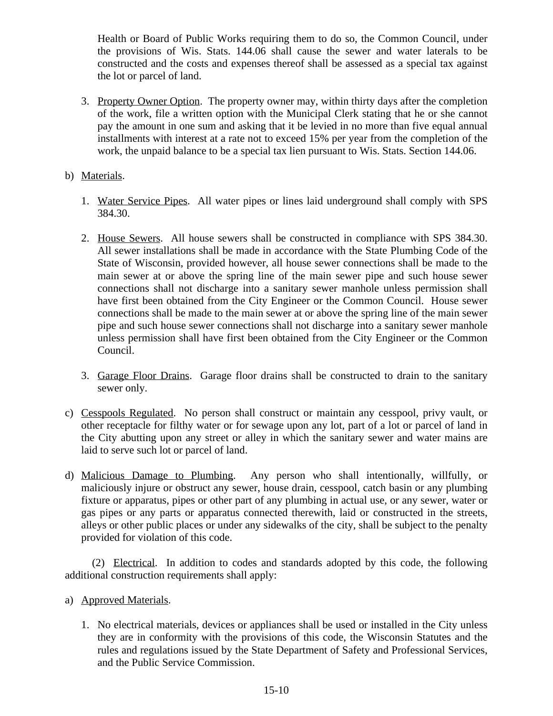Health or Board of Public Works requiring them to do so, the Common Council, under the provisions of Wis. Stats. 144.06 shall cause the sewer and water laterals to be constructed and the costs and expenses thereof shall be assessed as a special tax against the lot or parcel of land.

- 3. Property Owner Option. The property owner may, within thirty days after the completion of the work, file a written option with the Municipal Clerk stating that he or she cannot pay the amount in one sum and asking that it be levied in no more than five equal annual installments with interest at a rate not to exceed 15% per year from the completion of the work, the unpaid balance to be a special tax lien pursuant to Wis. Stats. Section 144.06.
- b) Materials.
	- 1. Water Service Pipes. All water pipes or lines laid underground shall comply with SPS 384.30.
	- 2. House Sewers. All house sewers shall be constructed in compliance with SPS 384.30. All sewer installations shall be made in accordance with the State Plumbing Code of the State of Wisconsin, provided however, all house sewer connections shall be made to the main sewer at or above the spring line of the main sewer pipe and such house sewer connections shall not discharge into a sanitary sewer manhole unless permission shall have first been obtained from the City Engineer or the Common Council. House sewer connections shall be made to the main sewer at or above the spring line of the main sewer pipe and such house sewer connections shall not discharge into a sanitary sewer manhole unless permission shall have first been obtained from the City Engineer or the Common Council.
	- 3. Garage Floor Drains. Garage floor drains shall be constructed to drain to the sanitary sewer only.
- c) Cesspools Regulated. No person shall construct or maintain any cesspool, privy vault, or other receptacle for filthy water or for sewage upon any lot, part of a lot or parcel of land in the City abutting upon any street or alley in which the sanitary sewer and water mains are laid to serve such lot or parcel of land.
- d) Malicious Damage to Plumbing. Any person who shall intentionally, willfully, or maliciously injure or obstruct any sewer, house drain, cesspool, catch basin or any plumbing fixture or apparatus, pipes or other part of any plumbing in actual use, or any sewer, water or gas pipes or any parts or apparatus connected therewith, laid or constructed in the streets, alleys or other public places or under any sidewalks of the city, shall be subject to the penalty provided for violation of this code.

(2) Electrical. In addition to codes and standards adopted by this code, the following additional construction requirements shall apply:

- a) Approved Materials.
	- 1. No electrical materials, devices or appliances shall be used or installed in the City unless they are in conformity with the provisions of this code, the Wisconsin Statutes and the rules and regulations issued by the State Department of Safety and Professional Services, and the Public Service Commission.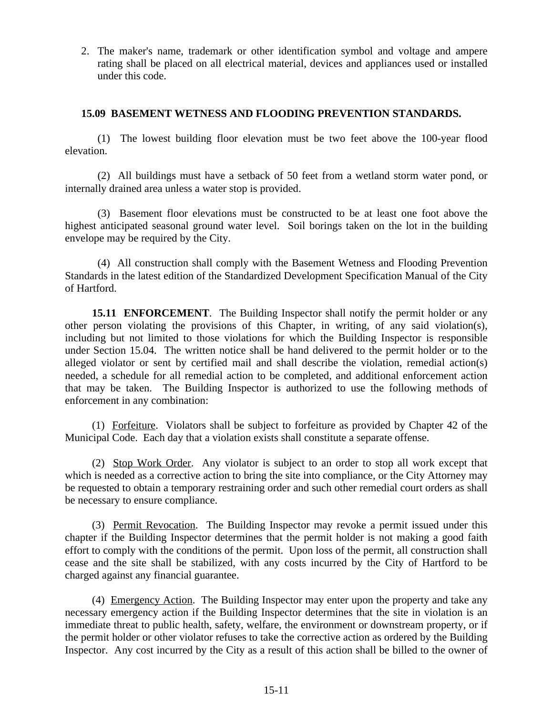2. The maker's name, trademark or other identification symbol and voltage and ampere rating shall be placed on all electrical material, devices and appliances used or installed under this code.

## **15.09 BASEMENT WETNESS AND FLOODING PREVENTION STANDARDS.**

(1) The lowest building floor elevation must be two feet above the 100-year flood elevation.

(2) All buildings must have a setback of 50 feet from a wetland storm water pond, or internally drained area unless a water stop is provided.

(3) Basement floor elevations must be constructed to be at least one foot above the highest anticipated seasonal ground water level. Soil borings taken on the lot in the building envelope may be required by the City.

(4) All construction shall comply with the Basement Wetness and Flooding Prevention Standards in the latest edition of the Standardized Development Specification Manual of the City of Hartford.

**15.11 ENFORCEMENT**. The Building Inspector shall notify the permit holder or any other person violating the provisions of this Chapter, in writing, of any said violation(s), including but not limited to those violations for which the Building Inspector is responsible under Section 15.04. The written notice shall be hand delivered to the permit holder or to the alleged violator or sent by certified mail and shall describe the violation, remedial action(s) needed, a schedule for all remedial action to be completed, and additional enforcement action that may be taken. The Building Inspector is authorized to use the following methods of enforcement in any combination:

(1) Forfeiture. Violators shall be subject to forfeiture as provided by Chapter 42 of the Municipal Code. Each day that a violation exists shall constitute a separate offense.

(2) Stop Work Order. Any violator is subject to an order to stop all work except that which is needed as a corrective action to bring the site into compliance, or the City Attorney may be requested to obtain a temporary restraining order and such other remedial court orders as shall be necessary to ensure compliance.

(3) Permit Revocation. The Building Inspector may revoke a permit issued under this chapter if the Building Inspector determines that the permit holder is not making a good faith effort to comply with the conditions of the permit. Upon loss of the permit, all construction shall cease and the site shall be stabilized, with any costs incurred by the City of Hartford to be charged against any financial guarantee.

(4) Emergency Action. The Building Inspector may enter upon the property and take any necessary emergency action if the Building Inspector determines that the site in violation is an immediate threat to public health, safety, welfare, the environment or downstream property, or if the permit holder or other violator refuses to take the corrective action as ordered by the Building Inspector. Any cost incurred by the City as a result of this action shall be billed to the owner of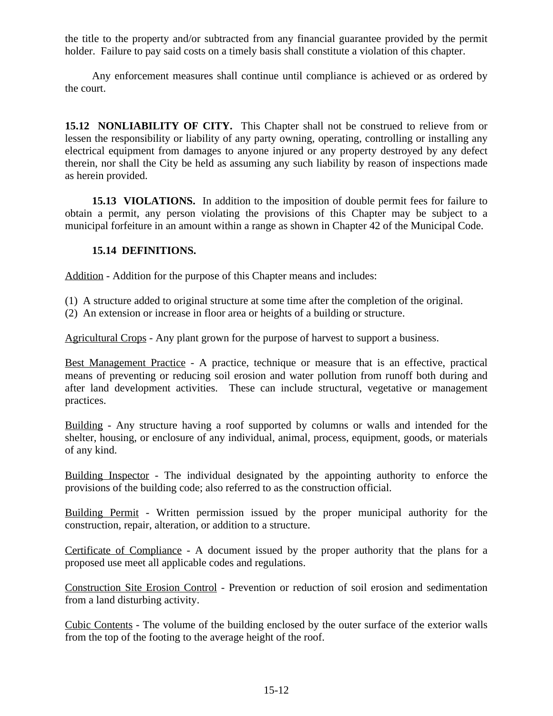the title to the property and/or subtracted from any financial guarantee provided by the permit holder. Failure to pay said costs on a timely basis shall constitute a violation of this chapter.

Any enforcement measures shall continue until compliance is achieved or as ordered by the court.

**15.12 NONLIABILITY OF CITY.** This Chapter shall not be construed to relieve from or lessen the responsibility or liability of any party owning, operating, controlling or installing any electrical equipment from damages to anyone injured or any property destroyed by any defect therein, nor shall the City be held as assuming any such liability by reason of inspections made as herein provided.

**15.13 VIOLATIONS.** In addition to the imposition of double permit fees for failure to obtain a permit, any person violating the provisions of this Chapter may be subject to a municipal forfeiture in an amount within a range as shown in Chapter 42 of the Municipal Code.

## **15.14 DEFINITIONS.**

Addition - Addition for the purpose of this Chapter means and includes:

- (1) A structure added to original structure at some time after the completion of the original.
- (2) An extension or increase in floor area or heights of a building or structure.

Agricultural Crops - Any plant grown for the purpose of harvest to support a business.

Best Management Practice - A practice, technique or measure that is an effective, practical means of preventing or reducing soil erosion and water pollution from runoff both during and after land development activities. These can include structural, vegetative or management practices.

Building - Any structure having a roof supported by columns or walls and intended for the shelter, housing, or enclosure of any individual, animal, process, equipment, goods, or materials of any kind.

Building Inspector - The individual designated by the appointing authority to enforce the provisions of the building code; also referred to as the construction official.

Building Permit - Written permission issued by the proper municipal authority for the construction, repair, alteration, or addition to a structure.

Certificate of Compliance - A document issued by the proper authority that the plans for a proposed use meet all applicable codes and regulations.

Construction Site Erosion Control - Prevention or reduction of soil erosion and sedimentation from a land disturbing activity.

Cubic Contents - The volume of the building enclosed by the outer surface of the exterior walls from the top of the footing to the average height of the roof.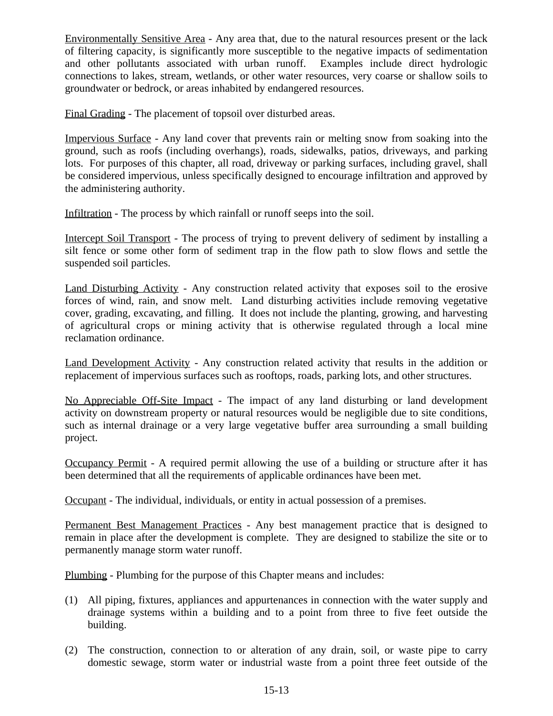Environmentally Sensitive Area - Any area that, due to the natural resources present or the lack of filtering capacity, is significantly more susceptible to the negative impacts of sedimentation and other pollutants associated with urban runoff. Examples include direct hydrologic connections to lakes, stream, wetlands, or other water resources, very coarse or shallow soils to groundwater or bedrock, or areas inhabited by endangered resources.

Final Grading - The placement of topsoil over disturbed areas.

Impervious Surface - Any land cover that prevents rain or melting snow from soaking into the ground, such as roofs (including overhangs), roads, sidewalks, patios, driveways, and parking lots. For purposes of this chapter, all road, driveway or parking surfaces, including gravel, shall be considered impervious, unless specifically designed to encourage infiltration and approved by the administering authority.

Infiltration - The process by which rainfall or runoff seeps into the soil.

Intercept Soil Transport - The process of trying to prevent delivery of sediment by installing a silt fence or some other form of sediment trap in the flow path to slow flows and settle the suspended soil particles.

Land Disturbing Activity - Any construction related activity that exposes soil to the erosive forces of wind, rain, and snow melt. Land disturbing activities include removing vegetative cover, grading, excavating, and filling. It does not include the planting, growing, and harvesting of agricultural crops or mining activity that is otherwise regulated through a local mine reclamation ordinance.

Land Development Activity - Any construction related activity that results in the addition or replacement of impervious surfaces such as rooftops, roads, parking lots, and other structures.

No Appreciable Off-Site Impact - The impact of any land disturbing or land development activity on downstream property or natural resources would be negligible due to site conditions, such as internal drainage or a very large vegetative buffer area surrounding a small building project.

Occupancy Permit - A required permit allowing the use of a building or structure after it has been determined that all the requirements of applicable ordinances have been met.

Occupant - The individual, individuals, or entity in actual possession of a premises.

Permanent Best Management Practices - Any best management practice that is designed to remain in place after the development is complete. They are designed to stabilize the site or to permanently manage storm water runoff.

Plumbing - Plumbing for the purpose of this Chapter means and includes:

- (1) All piping, fixtures, appliances and appurtenances in connection with the water supply and drainage systems within a building and to a point from three to five feet outside the building.
- (2) The construction, connection to or alteration of any drain, soil, or waste pipe to carry domestic sewage, storm water or industrial waste from a point three feet outside of the